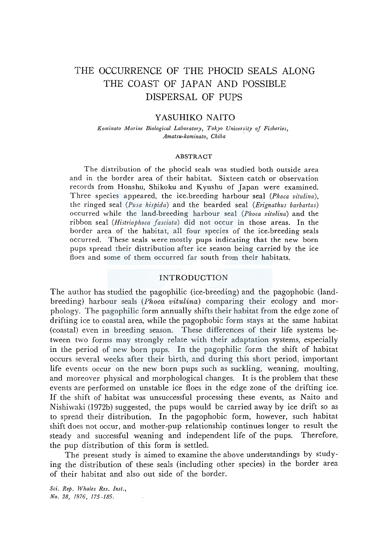# THE OCCURRENCE OF THE PHOCID SEALS ALONG THE COAST OF JAPAN AND POSSIBLE DISPERSAL OF PUPS

## Y ASUHIKO NAITO

*Kominato Marine Biological Laboratory, Tokyo University of Fisheries, Amatsu-kominato, Chiba* .

#### ABSTRACT

The distribution of the phocid seals was studied both outside area and in the border area of their habitat. Sixteen catch or observation records from Honshu, Shikoku and Kyushu of Japan were examined. Three species appeared, the ice-breeding harbour seal *(Phoca vitulina),*  the ringed seal *(Pusa hispida)* and the bearded seal *(Erignathus barbartus)*  occurred while the land-breeding harbour seal *(Phoca vitulina)* and the ribbon seal *(Histriophoca Jasciata)* did not occur in those areas. In the border area of the habitat, all four species of the ice-breeding seals occurred. These seals were mostly pups indicating that the new born pups spread their distribution after ice season being carried by the ice floes and some of them occurred far south from their habitats.

## INTRODUCTION

The author has studied the pagophilic (ice-breeding) and the pagophobic (landbreeding) harbour seals (*Phoca vitulina*) comparing their ecology and morphology. The pagophilic form annually shifts their habitat from the edge zone of drifting ice to coastal area, while the pagophobic form stays at the same habitat (coastal) even in breeding season. These differences of their life systems between two forms may strongly relate with their adaptation systems, especially in the period of new born pups. In the pagophilic form the shift of habitat occurs several weeks after their birth, and during this short period, important life events occur on the new born pups such as suckling, weaning, moulting, and moreover physical and morphological changes. It is the problem that these events are performed on unstable ice floes in the edge zone of the drifting ice. If the shift of habitat was unsuccessful processing these events, as Naito and Nishiwaki (1972b) suggested, the pups would be carried away by ice drift so as to spread their distribution. In the pagophobic form, however, such habitat shift does not occur, and mother-pup relationship continues longer to result the steady and successful weaning and independent life of the pups. Therefore, the pup distribution of this form is settled.

The present study is aimed to examine the above understandings by studying the distribution of these seals (including other species) in the border area of their habitat and also out side of the border.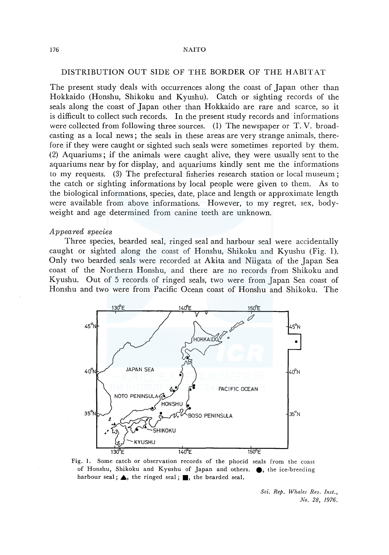#### 176 NAITO

# DISTRIBUTION OUT SIDE OF THE BORDER OF THE HABIT AT

The present study deals with occurrences along the coast of Japan other than Hokkaido (Honshu, Shikoku and Kyushu). Catch or sighting records of the seals along the coast of Japan other than Hokkaido are rare and scarce, so it is difficult to collect such records. In the present study records and informations were collected from following three sources. (1) The newspaper or T.V. broadcasting as a local news ; the seals in these areas are very strange animals, therefore if they were caught or sighted such seals were sometimes reported by them. (2) Aquariums; if the animals were caught alive, they were usually sent to the aquariums near by for display, and aquariums kindly sent me the informations to my requests. (3) The prefectural fisheries research station or local museum; the catch or sighting informations by local people were given to them. As to the biological informations, species, date, place and length or approximate length were available from above informations. However, to my regret, sex, bodyweight and age determined from canine teeth are unknown.

#### *Appeared species*

Three species, bearded seal, ringed seal and harbour seal were accidentally caught or sighted along the coast of Honshu, Shikoku and Kyushu (Fig. 1). Only two bearded seals were recorded at Akita and Niigata of the Japan Sea coast of the Northern Honshu, and there are no records from Shikoku and Kyushu. Out of 5 records of ringed seals, two were from Japan Sea coast of Honshu and two were from Pacific Ocean coast of Honshu and Shikoku. The



Fig. 1. Some catch or observation records of the phocid seals from the coast of Honshu, Shikoku and Kyushu of Japan and others. ... the ice-breeding harbour seal;  $\blacktriangle$ , the ringed seal;  $\blacksquare$ , the bearded seal.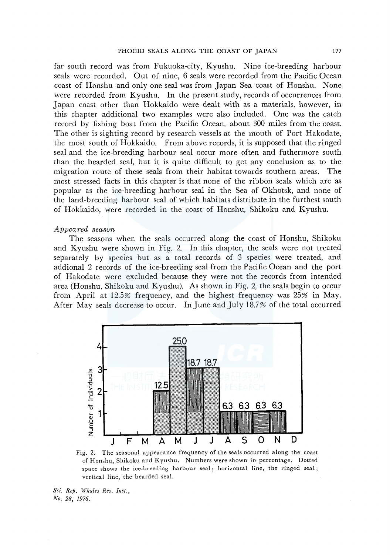far south record was from Fukuoka-city, Kyushu. Nine ice-breeding harbour seals were recorded. Out of nine, 6 seals were recorded from the Pacific Ocean coast of Honshu and only one seal was from Japan Sea coast of Honshu. None were recorded from Kyushu. In the present study, records of occurrences from Japan coast other than Hokkaido were dealt with as a materials, however, in this chapter additional two examples were also included. One was the catch record by fishing boat from the Pacific Ocean, about 300 miles from the coast. The other is sighting record by research vessels at the mouth of Port Hakodate, the most south of Hokkaido. From above records, it is supposed that the ringed seal and the ice-breeding harbour seal occur more often and futhermore south than the bearded seal, but it is quite difficult to get any conclusion as to the migration route of these seals from their habitat towards southern areas. The most stressed facts in this chapter is that none of the ribbon seals which are as popular as the ice-breeding harbour seal in the Sea of Okhotsk, and none of the land-breeding harbour seal of which habitats distribute in the furthest south of Hokkaido, were recorded in the coast of Honshu, Shikoku and Kyushu.

#### *Appeared season*

The seasons when the seals occurred along the coast of Honshu, Shikoku and Kyushu were shown in Fig. 2. In this chapter, the seals were not treated separately by species but as a total records of 3 species were treated, and addional 2 records of the ice-breeding seal from the Pacific Ocean and the port of Hakodate were excluded because they were not the records from intended area (Honshu, Shikoku and Kyushu). As shown in Fig. 2, the seals begin to occur from April at 12.5% frequency, and the highest frequency was 25% in May. After May seals decrease to occur. In June and July 18.7% of the total occurred



Fig. 2. The seasonal appearance frequency of the seals occurred along the coast of Honshu, Shikoku and Kyushu. Numbers were shown in percentage. Dotted space shows the ice-breeding harbour seal; horizontal line, the ringed seal; vertical line, the bearded seal.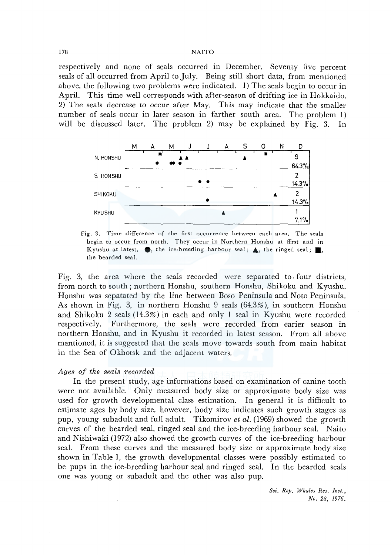#### 178 NAITO

respectively and none of seals occurred in December. Seventy five percent seals of all occurred from April to July. Being still short data, from mentioned above, the following two problems were indicated. 1) The seals begin to occur in April. This time well corresponds with after-season of drifting ice in Hokkaido. 2) The seals decrease to occur after May. This may indicate that the smaller number of seals occur in later season in farther south area. The problem 1) will be discussed later. The problem 2) may be explained by Fig. 3. In



Fig. 3. Time difference of the first occurrence between each area. The seals begin to occur from north. They occur in Northern Honshu at ffrst and in Kyushu at latest.  $\bullet$ , the ice-breeding harbour seal;  $\blacktriangle$ , the ringed seal; ... the bearded seal.

Fig. 3, the area where the seals recorded were separated to. four districts, from north to south; northern Honshu, southern Honshu, Shikoku and Kyushu. Honshu was sepatated by the line between Boso Peninsula and Noto Peninsula. As shown in Fig. 3, in northern Honshu 9 seals (64.3%), in southern Honshu and Shikoku 2 seals (14.3%) in each and only 1 seal in Kyushu were recorded respectively. Furthermore, the seals were recorded from earier season in northern Honshu, and in Kyushu it recorded in latest season. From all above mentioned, it is suggested that the seals move towards south from main habitat in the Sea of Okhotsk and the adjacent waters.

# *Ages of the seals recorded*

In the present study, age informations based on examination of canine tooth were not available. Only measured body size or approximate body size was used for growth developmental class estimation. In general it is difficult to estimate ages by body size, however, body size indicates such growth stages as pup, young subadult and full adult. Tikomirov *et al.* (1969) showed the growth curves of the bearded seal, ringed seal and the ice-breeding harbour seal. Naito and Nishiwaki (1972) also showed the growth curves of the ice-breeding harbour seal. From these curves and the measured body size or approximate body size shown in Table 1, the growth developmental classes were possibly estimated to be pups in the ice-breeding harbour seal and ringed seal. In the bearded seals one was young or subadult and the other was also pup.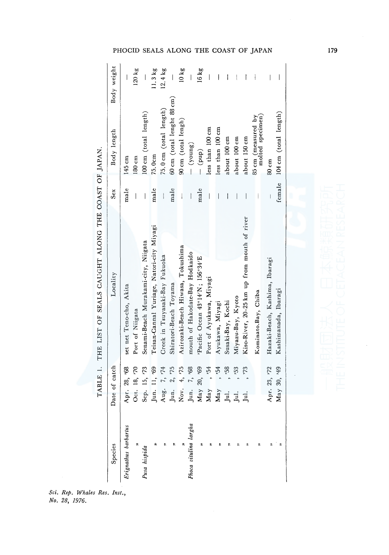| Species               | Date of catch          | Locality                                    | Sex                      | Body length                                     | Body weight              |
|-----------------------|------------------------|---------------------------------------------|--------------------------|-------------------------------------------------|--------------------------|
| Erignathus barbartus  | Apr. 28, '68           | set net Teno-cho, Akita                     | male                     | 145 cm                                          | I                        |
|                       | Oct. 18, '70           | Port of Niigata                             | I                        | 180cm                                           | $120$ kg                 |
| Pusa hispida          | Sep. 15, '73           | Senami-Beach Murakami-city, Niigata         | $\overline{\phantom{a}}$ | 100 cm (total length)                           |                          |
| 会                     | Jun. 11, '69           | Teisan-Cannal Yuriage, Natori-city Miyagi   | male                     | 75.0cm                                          | 11.3 kg                  |
| R                     | 7, 74<br>Aug.          | Creek in Tsuyasaki-Bay Fukuoka              |                          | $75.0 \text{ cm}$ (total length)                | $12.4 \text{ kg}$        |
|                       | 2, 75<br>Jun.          | Shiratori-Beach Toyama                      | male                     | $60 \text{ cm}$ (total lenght $88 \text{ cm}$ ) |                          |
|                       | 4, 75<br>Nov.          | Azirozaki-Beach Hiwasa, Tokushima           |                          | 90 cm (total lengh)                             | 10 kg                    |
| Phoca vitulina largha | 7, 68<br>Jun.          | mouth of Hakodate-Bay Hodkaido              |                          | $(-$ (young)                                    |                          |
|                       | May 20, '69            | Pacific Ocean 43°14'N; 156°34'E             | male                     | $(-q uq)$                                       | 16 kg                    |
|                       | May, 54                | Port of Ayukawa, Miyagi                     |                          | less than 100 cm                                | I                        |
|                       | ,54<br>$\mathbf{M}$ ay | Ayukawa, Miyagi                             |                          | less than 100 cm                                | I                        |
|                       | ,58<br>Jul.            | Susaki-Bay, Kochi                           |                          | about 100 cm                                    |                          |
|                       | 53<br>Jul.             | Miyazu-Bay, Kyoto                           |                          | about 100 cm                                    |                          |
|                       | 54.<br>jul.            | Kiso-River, 20-25 km up from mouth of river |                          | about 150 cm                                    |                          |
|                       |                        | Kominato.Bay, Chiba                         |                          | 85 cm (measured by                              |                          |
|                       |                        |                                             |                          | molted specimen)                                |                          |
|                       | Apr. 23, '72           | Hazaki-Beach, Kashima, Ibaragi              |                          | 80 cm                                           |                          |
|                       | May 30, *49            | Kashimanada, Ibaragi                        | female                   | 104 cm (total length)                           | $\overline{\phantom{a}}$ |
|                       |                        |                                             |                          |                                                 |                          |

TABLE 1. THE LIST OF SEALS CAUGHT ALONG THE COAST OF JAPAN. THE LIST OF SEALS CAUGHT ALONG THE COAST OF JAPAN.

.<br>ci. Rep. Whales Res. Inst.<br><sup>1</sup>o. 28, 1976. No. 28, 1976.

179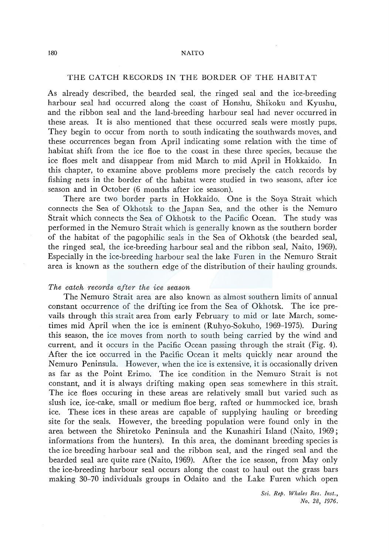## THE CATCH RECORDS IN THE BORDER OF THE HABITAT

As already described, the bearded seal, the ringed seal and the ice-breeding harbour seal had occurred along the coast of Honshu, Shikoku and Kyushu, and the ribbon seal and the land-breeding harbour seal had never occurred in these areas. It is also mentioned that these occurred seals were mostly pups. They begin to occur from north to south indicating the southwards moves, and these occurrences began from April indicating some relation with the time of habitat shift from the ice floe to the coast in these three species, because the ice floes melt and disappear from mid March to mid April in Hokkaido. In this chapter, to examine above problems more precisely the catch records by fishing nets in the border of the habitat were studied in two seasons, after ice season and in October (6 months after ice season).

There are two border parts in Hokkaido. One is the Soya Strait which connects the Sea of Okhotsk to the Japan Sea, and the other is the Nemuro Strait which connects the Sea of Okhotsk to the Pacific Ocean. The study was performed in the Nemuro Strait which is generally known as the southern border of the habitat of the pagophilic seals in the Sea of Okhotsk (the bearded seal, the ringed seal, the ice-breeding harbour seal and the ribbon seal, Naito, 1969). Especially in the ice-breeding harbour seal the lake Furen in the Nemuro Strait area is known as the southern edge of the distribution of their hauling grounds.

## *The catch records after the ice season*

The Nemuro Strait area are also known as almost southern limits of annual constant occurrence of the drifting ice from the Sea of Okhotsk. The ice prevails through this strait area from early February to mid or late March, sometimes mid April when the ice is eminent (Ruhyo-Sokuho, 1969-1975). During this season, the ice moves from north to south being carried by the wind and current, and it occurs in the Pacific Ocean passing through the strait (Fig. 4). After the ice occurred in the Pacific Ocean it melts quickly near around the Nemuro Peninsula. However, when the ice is extensive, it is occasionally driven as far as the Point Erimo. The ice condition in the Nemuro Strait is not constant, and it is always drifting making open seas somewhere in this strait. The ice floes occuring in these areas are relatively small but varied such as slush ice, ice-cake, small or medium floe berg, rafted or hummocked ice, brash ice. These ices in these areas are capable of supplying hauling or breeding site for the seals. However, the breeding population were found only in the area between the Shiretoko Peninsula and the Kunashiri Island (Naito, 1969; informations from the hunters). In this area, the dominant breeding species is the ice breeding harbour seal and the ribbon seal, and the ringed seal and the bearded seal are quite rare (Naito, 1969). After the ice season, from May only the ice-breeding harbour seal occurs along the coast to haul out the grass bars making 30-70 individuals groups in Odaito and the Lake Furen which open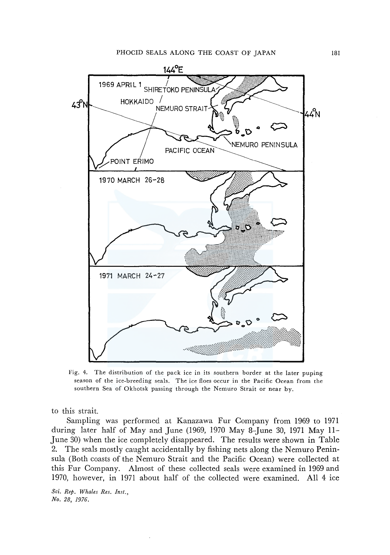

Fig. 4. The distribution of the pack ice in its southern border at the later puping season of the ice-breeding seals. The ice floes occur in the Pacific Ocean from the southern Sea of Okhotsk passing through the Nemuro Strait or near by.

to this strait.

Sampling was performed at Kanazawa Fur Company from 1969 to 1971 during later half of May and June (1969, 1970 May 8-June 30, 1971 May 11- June 30) when the ice completely disappeared. The results were shown in Table 2. The seals mostly caught accidentally by fishing nets along the Nemuro Peninsula (Both coasts of the Nemuro Strait and the Pacific Ocean) were collected at this Fur Company. Almost of these collected seals were examined in 1969 and 1970, however, in 1971 about half of the collected were examined. All 4 ice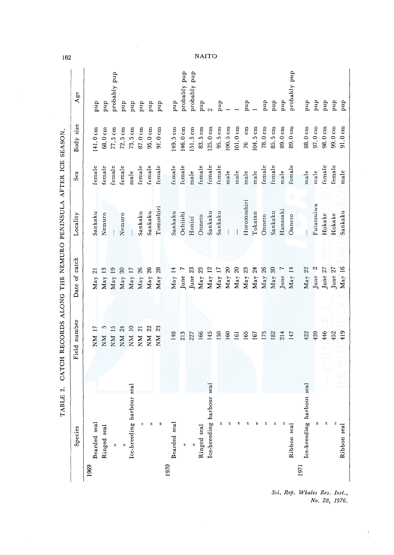|      | Species                   | Field number              | Date of catch          | Locality    | $S_{ex}$ | Body size           | Age          |
|------|---------------------------|---------------------------|------------------------|-------------|----------|---------------------|--------------|
| 1969 |                           |                           |                        |             |          |                     |              |
|      | Bearded seal              | NМ                        | $\overline{c}$<br>May  | Sankaku     | female   | $141.0 \text{ cm}$  | qnd          |
|      | Ringed seal               | 5<br>NN                   | 13<br>May              | Nemuro      | female   | 68.0 cm             | quq          |
|      | t,                        | $\overline{15}$<br>NМ     | $\overline{19}$<br>May |             | female   | $77.5\,\mathrm{cm}$ | probably pup |
|      |                           | 24<br>NМ                  | $\mathfrak{S}$<br>May  | Nemuro      | female   | $72.5 \text{ cm}$   | quq          |
|      | Ice-breeding harbour seal | $\approx$<br>$_{\rm NN}$  | $\overline{17}$<br>May |             | male     | $73.5 \text{ cm}$   | quq          |
|      | t,                        | $\overline{\Omega}$<br>NМ | 26<br>May              | Sankaku     | female   | 87.0 cm             | pup          |
|      | 2                         | 22<br>NN                  | 26<br>May              | Sankaku     | female   | 95.0 cm             | pup          |
|      | ።                         | 23<br>MN                  | 28<br>May              | Tomoshiri   | female   | $91.0 \text{ cm}$   | pup          |
| 1970 |                           |                           |                        |             |          |                     |              |
|      | Bearded seal              | 148                       | $\text{May}$ 14        | Sankaku     | female   | 149.5 cm            | pup          |
|      | R                         | 213                       | June                   | Ochiishi    | female   | 146.0 cm            | probably pup |
|      |                           | 227                       | $23\,$<br>June         | Honioi      | male     | 151.5cm             | probably pup |
|      | Ringed seal               | 166                       | 23<br>May              | Onneto      | female   | 83.5 cm             | qnd          |
|      | Ice-breeding harbour seal | 145                       | 12<br>May              | Sankaku     | female   | $125.0 \text{ cm}$  | $\sim$       |
|      | ଛ                         | 150                       | $\overline{17}$<br>May | Sankaku     | female   | 95.5 cm             | quq          |
|      |                           | 160                       | $\mathfrak{D}$<br>May  |             | male     | 100.5cm             |              |
|      |                           | 161                       | $\mathfrak{D}$<br>May  |             | male     | 101.0cm             |              |
|      |                           | 165                       | 23<br>May              | Horomoshiri | male     | cm<br>76            | quq          |
|      |                           | 167                       | $\overline{24}$<br>May | Tokatan     | male     | 104.5 cm            |              |
|      |                           | 175                       | 26<br>May              | Onneto      | female   | 78.0 cm             | qnd          |
|      |                           | 182                       | $\mathcal{L}$<br>May   | Sankaku     | female   | 85.5 cm             | pup          |
|      |                           | 214                       | June                   | Hanasaki    | male     | 89.0 cm             | qnd          |
|      | Ribbon seal               | 147                       | 14<br>May              | Onneto      | female   | 89.0 cm             | probably pup |
| 1971 | Ice-breeding harbout seal | 422                       | May 22                 |             | male     | 88.0 cm             | qnd          |
|      | r,                        | 439                       | $\mathfrak{a}$<br>June | Futatsuiwa  | male     | 97.0 cm             | qnq          |
|      | r,                        | 446                       | June 27                | Hokake      | female   | 98.0 cm             | quq          |
|      |                           | 452                       | June 27                | Hokake      | female   | 99.0 cm             | qnd          |
|      | Ribbon seal               | 419                       | May 16                 | Sankaku     | male     | 91.0cm              | qnd          |

 $\frac{1}{\epsilon}$ 

**NAITO** 

 $\hat{\boldsymbol{\beta}}$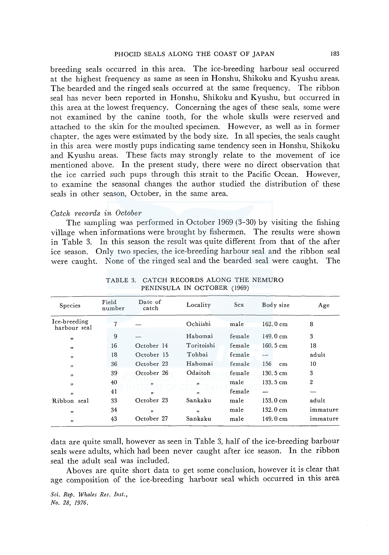breeding seals occurred in this area. The ice-breeding harbour seal occurred at the highest frequency as same as seen in Honshu, Shikoku and Kyushu areas. The bearded and the ringed seals occurred at the same frequency. The ribbon seal has never been reported in Honshu, Shikoku and Kyushu, but occurred in this area at the lowest frequency. Concerning the ages of these seals, some were not examined by the canine tooth, for the whole skulls were reserved and attached to the skin for the moulted specimen. However, as well as in former chapter, the ages were estimated by the body size. In all species, the seals caught in this area were mostly pups indicating same tendency seen in Honshu, Shikoku and Kyushu areas. These facts may strongly relate to the movement of ice mentioned above. In the present study, there were no direct observation that the ice carried such pups through this strait to the Pacific Ocean. However, to examine the seasonal changes the author studied the distribution of these seals in other season, October, in the same area.

## *Catch records in October*

The sampling was performed in October 1969 (3-30) by visiting the fishing village when informations were brought by fishermen. The results were shown in Table 3. In this season the result was quite different from that of the after ice season. Only two species, the ice-breeding harbour seal and the ribbon seal were caught. None of the ringed seal and the bearded seal were caught. The

| Species                      | Field<br>number | Date of<br>catch | Locality   | <b>Sex</b> | Body size          | Age            |
|------------------------------|-----------------|------------------|------------|------------|--------------------|----------------|
| Ice-breeding<br>harbour seal |                 |                  | Ochiishi   | male       | 162.0 cm           | 8              |
| ,                            | 9               |                  | Habomai    | female     | $149.0 \text{ cm}$ | 3              |
| , ,                          | 16              | October 14       | Toritoishi | female     | $160.5 \text{ cm}$ | 18             |
| , 1                          | 18              | October 15       | Tohbai     | female     | man man            | adult          |
| , 7                          | 36              | October 23       | Habomai    | female     | 156<br>cm          | 10             |
| , ,                          | 39              | October 26       | Odaiton    | female     | $130.5 \text{ cm}$ | 3              |
| ,                            | 40              | ,,               | "          | male       | 133.5 cm           | $\overline{2}$ |
| ,                            | 41              | ,,               | "          | female     |                    |                |
| Ribbon seal                  | 33              | October 23       | Sankaku    | male       | 153.0 cm           | adult          |
| , ,                          | 34              | , 2              | "          | male       | $132.0 \text{ cm}$ | immature       |
| ,                            | 43              | October 27       | Sankaku    | male       | 149.0 cm           | immature       |

TABLE 3. CATCH RECORDS ALONG THE NEMURO PENINSULA IN OCTOBER (1969)

data are quite small, however as seen in Table 3, half of the ice-breeding harbour seals were adults, which had been never caught after ice season. In the ribbon seal the adult seal was included.

Aboves are quite short data to get some conclusion, however it is clear that age composition of the ice-breeding harbour seal which occurred in this area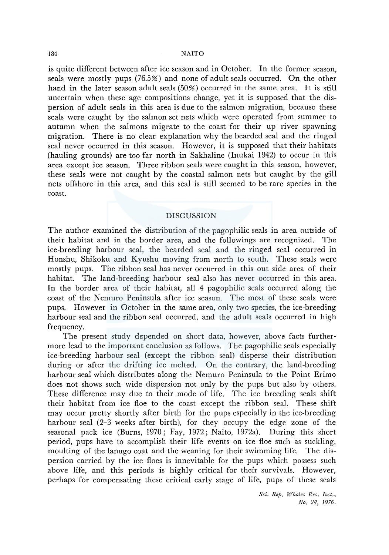is quite different between after ice season and in October. In the former season, seals were mostly pups (76.5%) and none of adult seals occurred. On the other hand in the later season adult seals (50%) occurred in the same area. It is still uncertain when these age compositions change, yet it is supposed that the dispersion of adult seals in this area is due to the salmon migration, because these seals were caught by the salmon set nets which were operated from summer to autumn when the salmons migrate to the coast for their up river spawning migration. There is no clear explanation why the bearded seal and the ringed seal never occurred in this season. However, it is supposed that their habitats (hauling grounds) are too far north in Sakhaline (lnukai 1942) to occur in this area except ice season. Three ribbon seals were caught in this season, however, these seals were not caught by the coastal salmon nets but caught by the gill nets offshore in this area, and this seal is still seemed to be rare species in the coast.

# DISCUSSION

The author examined the distribution of the pagophilic seals in area outside of their habitat and in the border area, and the followings are recognized. The ice-breeding harbour seal, the bearded seal and the ringed seal occurred in Honshu, Shikoku and Kyushu moving from north to south. These seals were mostly pups. The ribbon seal has never occurred in this out side area of their habitat. The land-breeding harbour seal also has never occurred in this area. In the border area of their habitat, all 4 pagophilic seals occurred along the coast of the Nemuro Peninsula after ice season. The most of these seals were pups. However in October in the same area, only two species, the ice-breeding harbour seal and the ribbon seal occurred, and the adult seals occurred in high frequency.

The present study depended on short data, however, above facts furthermore lead to the important conclusion as follows. The pagophilic seals especially ice-breeding harbour seal (except the ribbon seal) disperse their distribution during or after the drifting ice melted. On the contrary, the land-breeding harbour seal which distributes along the Nemuro Peninsula to the Point Erimo does not shows such wide dispersion not only by the pups but also by others. These difference may due to their mode of life. The ice breeding seals shift their habitat from ice floe to the coast except the ribbon seal. These shift may occur pretty shortly after birth for the pups especially in the ice-breeding harbour seal (2-3 weeks after birth), for they occupy the edge zone of the seasonal pack ice (Burns, 1970; Fay, 1972; Naito, 1972a). During this short period, pups have to accomplish their life events on ice floe such as suckling, moulting of the lanugo coat and the weaning for their swimming life. The dispersion carried by the ice floes is innevitable for the pups which possess such above life, and this periods is highly critical for their survivals. However, perhaps for compensating these critical early stage of life, pups of these seals